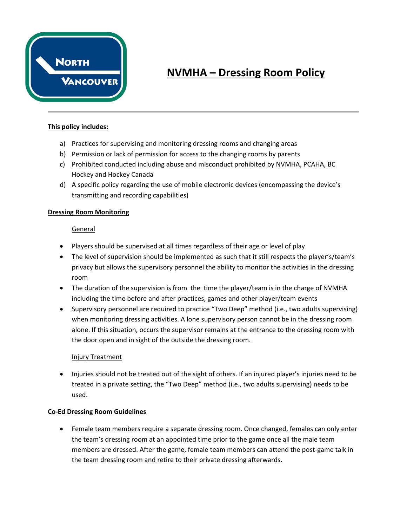

# **NVMHA – Dressing Room Policy**

### **This policy includes:**

- a) Practices for supervising and monitoring dressing rooms and changing areas
- b) Permission or lack of permission for access to the changing rooms by parents
- c) Prohibited conducted including abuse and misconduct prohibited by NVMHA, PCAHA, BC Hockey and Hockey Canada
- d) A specific policy regarding the use of mobile electronic devices (encompassing the device's transmitting and recording capabilities)

## **Dressing Room Monitoring**

## General

- Players should be supervised at all times regardless of their age or level of play
- The level of supervision should be implemented as such that it still respects the player's/team's privacy but allows the supervisory personnel the ability to monitor the activities in the dressing room
- The duration of the supervision is from the time the player/team is in the charge of NVMHA including the time before and after practices, games and other player/team events
- Supervisory personnel are required to practice "Two Deep" method (i.e., two adults supervising) when monitoring dressing activities. A lone supervisory person cannot be in the dressing room alone. If this situation, occurs the supervisor remains at the entrance to the dressing room with the door open and in sight of the outside the dressing room.

### Injury Treatment

• Injuries should not be treated out of the sight of others. If an injured player's injuries need to be treated in a private setting, the "Two Deep" method (i.e., two adults supervising) needs to be used.

### **Co-Ed Dressing Room Guidelines**

• Female team members require a separate dressing room. Once changed, females can only enter the team's dressing room at an appointed time prior to the game once all the male team members are dressed. After the game, female team members can attend the post-game talk in the team dressing room and retire to their private dressing afterwards.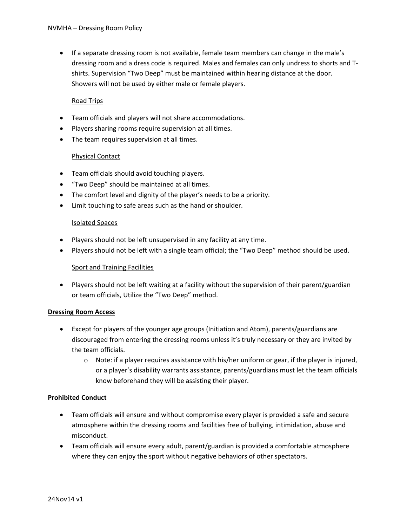• If a separate dressing room is not available, female team members can change in the male's dressing room and a dress code is required. Males and females can only undress to shorts and Tshirts. Supervision "Two Deep" must be maintained within hearing distance at the door. Showers will not be used by either male or female players.

## Road Trips

- Team officials and players will not share accommodations.
- Players sharing rooms require supervision at all times.
- The team requires supervision at all times.

### Physical Contact

- Team officials should avoid touching players.
- "Two Deep" should be maintained at all times.
- The comfort level and dignity of the player's needs to be a priority.
- Limit touching to safe areas such as the hand or shoulder.

### Isolated Spaces

- Players should not be left unsupervised in any facility at any time.
- Players should not be left with a single team official; the "Two Deep" method should be used.

### Sport and Training Facilities

• Players should not be left waiting at a facility without the supervision of their parent/guardian or team officials, Utilize the "Two Deep" method.

### **Dressing Room Access**

- Except for players of the younger age groups (Initiation and Atom), parents/guardians are discouraged from entering the dressing rooms unless it's truly necessary or they are invited by the team officials.
	- $\circ$  Note: if a player requires assistance with his/her uniform or gear, if the player is injured, or a player's disability warrants assistance, parents/guardians must let the team officials know beforehand they will be assisting their player.

### **Prohibited Conduct**

- Team officials will ensure and without compromise every player is provided a safe and secure atmosphere within the dressing rooms and facilities free of bullying, intimidation, abuse and misconduct.
- Team officials will ensure every adult, parent/guardian is provided a comfortable atmosphere where they can enjoy the sport without negative behaviors of other spectators.